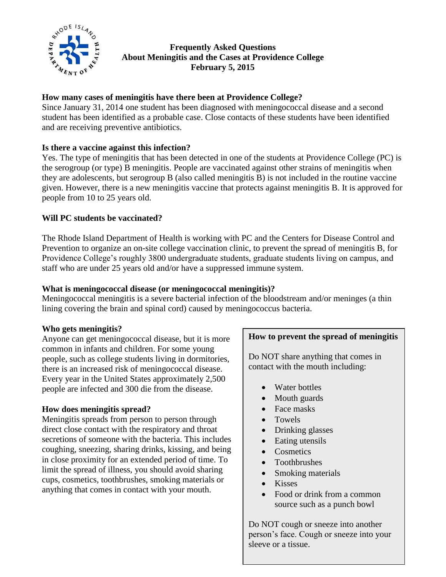

### **Frequently Asked Questions About Meningitis and the Cases at Providence College February 5, 2015**

### **How many cases of meningitis have there been at Providence College?**

Since January 31, 2014 one student has been diagnosed with meningococcal disease and a second student has been identified as a probable case. Close contacts of these students have been identified and are receiving preventive antibiotics.

### **Is there a vaccine against this infection?**

Yes. The type of meningitis that has been detected in one of the students at Providence College (PC) is the serogroup (or type) B meningitis. People are vaccinated against other strains of meningitis when they are adolescents, but serogroup B (also called meningitis B) is not included in the routine vaccine given. However, there is a new meningitis vaccine that protects against meningitis B. It is approved for people from 10 to 25 years old.

### **Will PC students be vaccinated?**

The Rhode Island Department of Health is working with PC and the Centers for Disease Control and Prevention to organize an on-site college vaccination clinic, to prevent the spread of meningitis B, for Providence College's roughly 3800 undergraduate students, graduate students living on campus, and staff who are under 25 years old and/or have a suppressed immune system.

### **What is meningococcal disease (or meningococcal meningitis)?**

Meningococcal meningitis is a severe bacterial infection of the bloodstream and/or meninges (a thin lining covering the brain and spinal cord) caused by meningococcus bacteria.

### **Who gets meningitis?**

Anyone can get meningococcal disease, but it is more common in infants and children. For some young people, such as college students living in dormitories, there is an increased risk of meningococcal disease. Every year in the United States approximately 2,500 people are infected and 300 die from the disease.

# **How does meningitis spread?**

Meningitis spreads from person to person through direct close contact with the respiratory and throat secretions of someone with the bacteria. This includes coughing, sneezing, sharing drinks, kissing, and being in close proximity for an extended period of time. To limit the spread of illness, you should avoid sharing cups, cosmetics, toothbrushes, smoking materials or anything that comes in contact with your mouth.

### **How to prevent the spread of meningitis**

Do NOT share anything that comes in contact with the mouth including:

- Water bottles
- Mouth guards
- Face masks
- Towels
- Drinking glasses
- Eating utensils
- Cosmetics
- Toothbrushes
- Smoking materials
- Kisses
- Food or drink from a common source such as a punch bowl

Do NOT cough or sneeze into another person's face. Cough or sneeze into your sleeve or a tissue.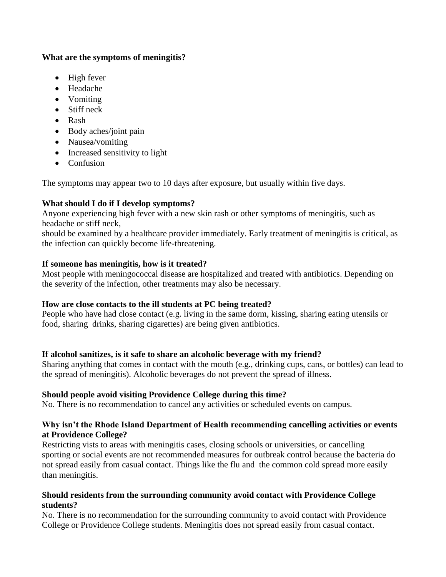#### **What are the symptoms of meningitis?**

- $\bullet$  High fever
- Headache
- Vomiting
- Stiff neck
- Rash
- Body aches/joint pain
- Nausea/vomiting
- Increased sensitivity to light
- Confusion

The symptoms may appear two to 10 days after exposure, but usually within five days.

# **What should I do if I develop symptoms?**

Anyone experiencing high fever with a new skin rash or other symptoms of meningitis, such as headache or stiff neck,

should be examined by a healthcare provider immediately. Early treatment of meningitis is critical, as the infection can quickly become life-threatening.

# **If someone has meningitis, how is it treated?**

Most people with meningococcal disease are hospitalized and treated with antibiotics. Depending on the severity of the infection, other treatments may also be necessary.

# **How are close contacts to the ill students at PC being treated?**

People who have had close contact (e.g. living in the same dorm, kissing, sharing eating utensils or food, sharing drinks, sharing cigarettes) are being given antibiotics.

# **If alcohol sanitizes, is it safe to share an alcoholic beverage with my friend?**

Sharing anything that comes in contact with the mouth (e.g., drinking cups, cans, or bottles) can lead to the spread of meningitis). Alcoholic beverages do not prevent the spread of illness.

# **Should people avoid visiting Providence College during this time?**

No. There is no recommendation to cancel any activities or scheduled events on campus.

### **Why isn't the Rhode Island Department of Health recommending cancelling activities or events at Providence College?**

Restricting vists to areas with meningitis cases, closing schools or universities, or cancelling sporting or social events are not recommended measures for outbreak control because the bacteria do not spread easily from casual contact. Things like the flu and the common cold spread more easily than meningitis.

### **Should residents from the surrounding community avoid contact with Providence College students?**

No. There is no recommendation for the surrounding community to avoid contact with Providence College or Providence College students. Meningitis does not spread easily from casual contact.